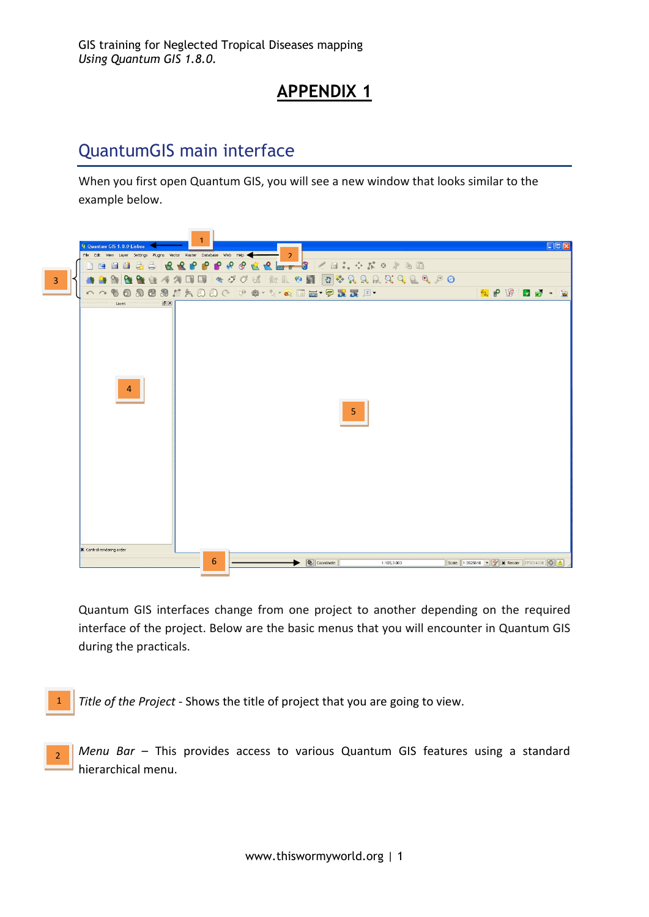# **APPENDIX 1**

# QuantumGIS main interface

When you first open Quantum GIS, you will see a new window that looks similar to the example below.



Quantum GIS interfaces change from one project to another depending on the required interface of the project. Below are the basic menus that you will encounter in Quantum GIS during the practicals.

*Title of the Project* - Shows the title of project that you are going to view.

1

2

*Menu Bar* – This provides access to various Quantum GIS features using a standard hierarchical menu.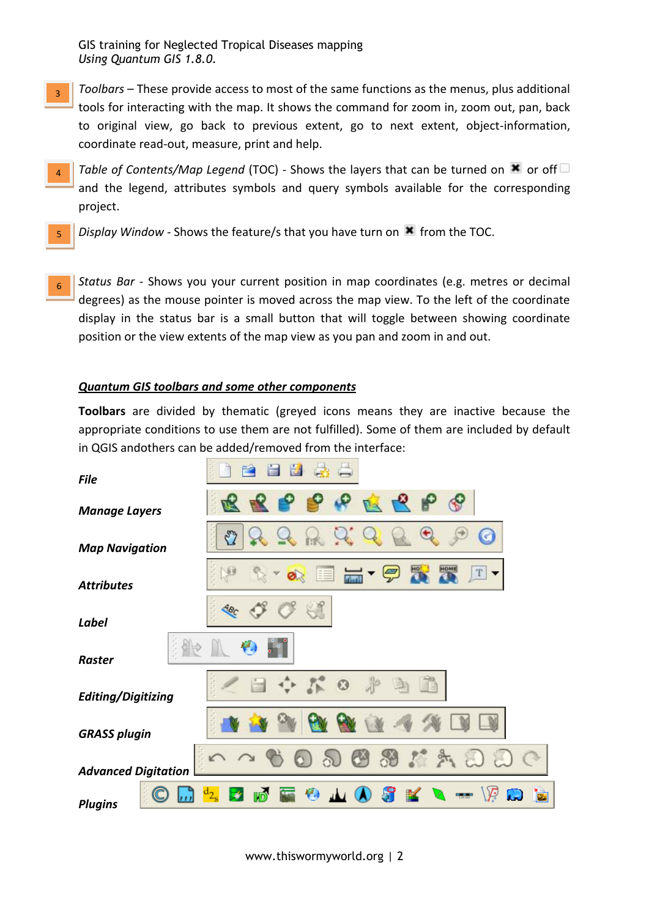- *Toolbars* These provide access to most of the same functions as the menus, plus additional tools for interacting with the map. It shows the command for zoom in, zoom out, pan, back to original view, go back to previous extent, go to next extent, object-information, coordinate read-out, measure, print and help.  $\overline{a}$
- *Table of Contents/Map Legend* (TOC) Shows the layers that can be turned on  $\blacksquare$  or off  $\Box$ and the legend, attributes symbols and query symbols available for the corresponding project.  $\lambda$
- *Display Window* Shows the feature/s that you have turn on **\*** from the TOC. 5
- *Status Bar* Shows you your current position in map coordinates (e.g. metres or decimal degrees) as the mouse pointer is moved across the map view. To the left of the coordinate display in the status bar is a small button that will toggle between showing coordinate position or the view extents of the map view as you pan and zoom in and out.  $\mathsf{G}$

### *Quantum GIS toolbars and some other components*

**Toolbars** are divided by thematic (greyed icons means they are inactive because the appropriate conditions to use them are not fulfilled). Some of them are included by default in QGIS andothers can be added/removed from the interface:

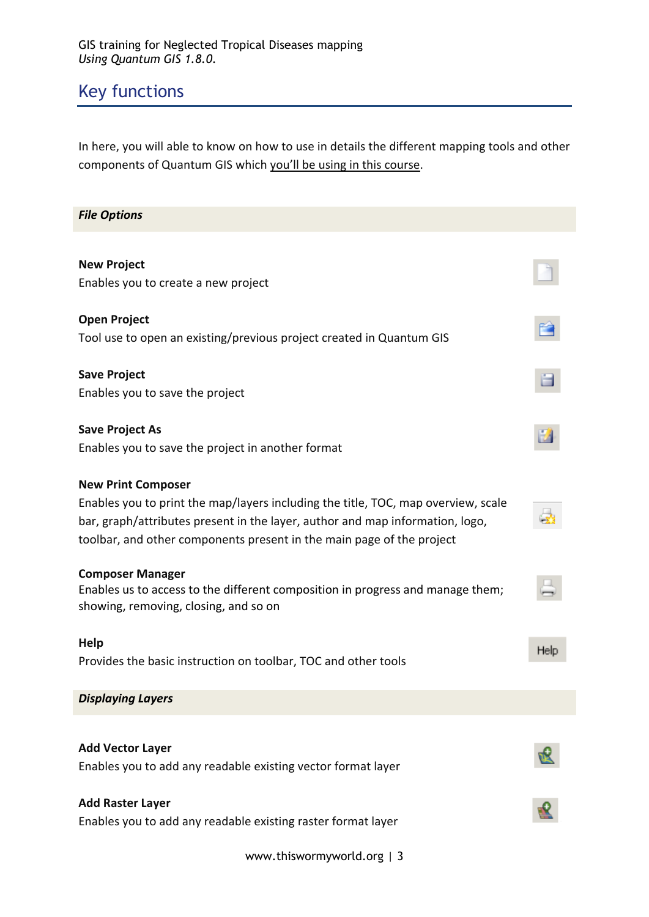# Key functions

In here, you will able to know on how to use in details the different mapping tools and other components of Quantum GIS which you'll be using in this course.

| <b>File Options</b>                                                                                                     |      |
|-------------------------------------------------------------------------------------------------------------------------|------|
|                                                                                                                         |      |
| <b>New Project</b>                                                                                                      |      |
| Enables you to create a new project                                                                                     |      |
| <b>Open Project</b>                                                                                                     |      |
| Tool use to open an existing/previous project created in Quantum GIS                                                    |      |
| <b>Save Project</b>                                                                                                     |      |
| Enables you to save the project                                                                                         |      |
| <b>Save Project As</b>                                                                                                  |      |
| Enables you to save the project in another format                                                                       |      |
| <b>New Print Composer</b>                                                                                               |      |
| Enables you to print the map/layers including the title, TOC, map overview, scale                                       |      |
| bar, graph/attributes present in the layer, author and map information, logo,                                           |      |
| toolbar, and other components present in the main page of the project                                                   |      |
| <b>Composer Manager</b>                                                                                                 |      |
| Enables us to access to the different composition in progress and manage them;<br>showing, removing, closing, and so on |      |
| Help                                                                                                                    |      |
| Provides the basic instruction on toolbar, TOC and other tools                                                          | Help |
| <b>Displaying Layers</b>                                                                                                |      |
|                                                                                                                         |      |
| <b>Add Vector Layer</b>                                                                                                 |      |
| Enables you to add any readable existing vector format layer                                                            |      |
| <b>Add Raster Layer</b>                                                                                                 |      |
| Enables you to add any readable existing raster format layer                                                            |      |

www.thiswormyworld.org | 3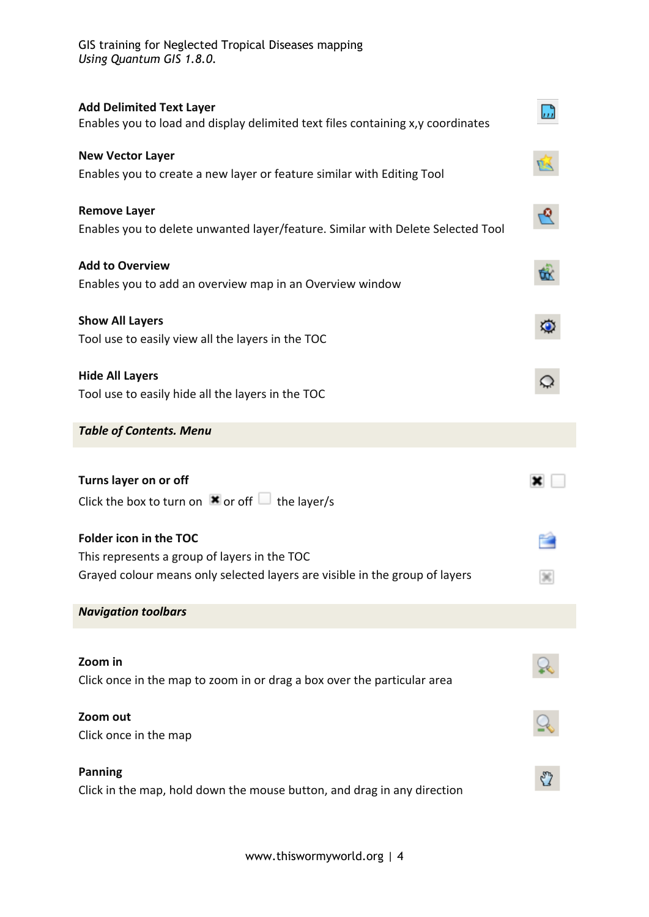| <b>Add Delimited Text Layer</b><br>Enables you to load and display delimited text files containing x,y coordinates |           |
|--------------------------------------------------------------------------------------------------------------------|-----------|
| <b>New Vector Layer</b>                                                                                            | <u>ud</u> |
| Enables you to create a new layer or feature similar with Editing Tool                                             |           |
| <b>Remove Layer</b>                                                                                                | ত্ত       |
| Enables you to delete unwanted layer/feature. Similar with Delete Selected Tool                                    |           |
| <b>Add to Overview</b>                                                                                             |           |
| Enables you to add an overview map in an Overview window                                                           |           |
| <b>Show All Layers</b>                                                                                             |           |
| Tool use to easily view all the layers in the TOC                                                                  |           |
| <b>Hide All Layers</b>                                                                                             |           |
| Tool use to easily hide all the layers in the TOC                                                                  |           |
| <b>Table of Contents. Menu</b>                                                                                     |           |
|                                                                                                                    |           |
|                                                                                                                    |           |
| Turns layer on or off                                                                                              |           |
| Click the box to turn on $\mathbf{\times}$ or off $\Box$ the layer/s                                               |           |
| Folder icon in the TOC                                                                                             |           |
| This represents a group of layers in the TOC                                                                       |           |
| Grayed colour means only selected layers are visible in the group of layers                                        |           |
| <b>Navigation toolbars</b>                                                                                         |           |
|                                                                                                                    |           |
| Zoom in                                                                                                            |           |
| Click once in the map to zoom in or drag a box over the particular area                                            |           |
| Zoom out                                                                                                           |           |
| Click once in the map                                                                                              |           |
| <b>Panning</b>                                                                                                     |           |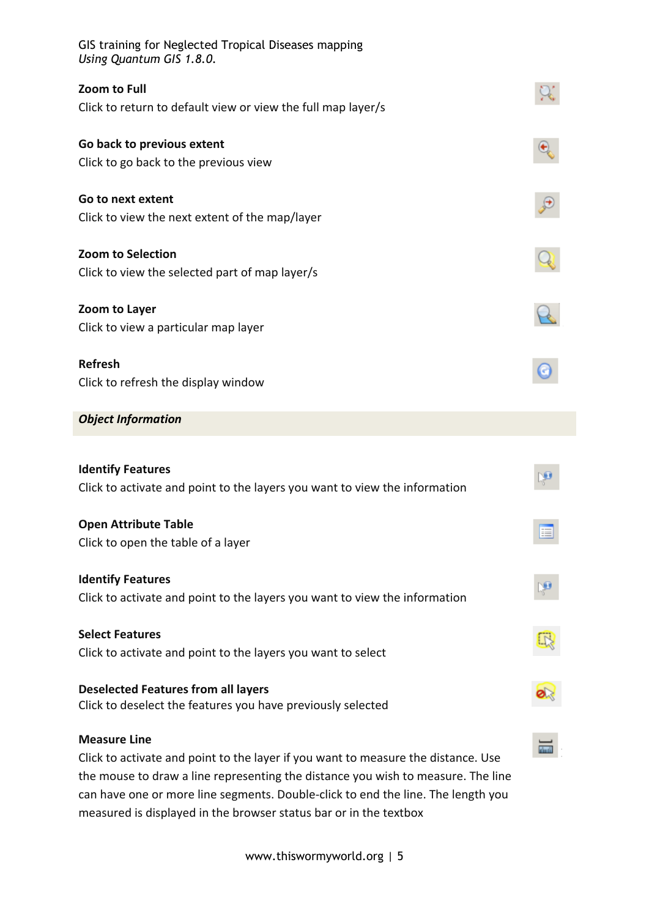| GIS training for Neglected Tropical Diseases mapping<br>Using Quantum GIS 1.8.0.                         |  |
|----------------------------------------------------------------------------------------------------------|--|
| Zoom to Full<br>Click to return to default view or view the full map layer/s                             |  |
| Go back to previous extent                                                                               |  |
| Click to go back to the previous view                                                                    |  |
| Go to next extent                                                                                        |  |
| Click to view the next extent of the map/layer                                                           |  |
| <b>Zoom to Selection</b>                                                                                 |  |
| Click to view the selected part of map layer/s                                                           |  |
| Zoom to Layer<br>Click to view a particular map layer                                                    |  |
|                                                                                                          |  |
| <b>Refresh</b><br>Click to refresh the display window                                                    |  |
|                                                                                                          |  |
| <b>Object Information</b>                                                                                |  |
| <b>Identify Features</b>                                                                                 |  |
| Click to activate and point to the layers you want to view the information                               |  |
| <b>Open Attribute Table</b>                                                                              |  |
| Click to open the table of a layer                                                                       |  |
| <b>Identify Features</b>                                                                                 |  |
| Click to activate and point to the layers you want to view the information                               |  |
| <b>Select Features</b>                                                                                   |  |
| Click to activate and point to the layers you want to select                                             |  |
| <b>Deselected Features from all layers</b>                                                               |  |
| Click to deselect the features you have previously selected                                              |  |
| <b>Measure Line</b><br>Click to activate and point to the layer if you want to measure the distance. Use |  |
| the mouse to draw a line representing the distance you wish to measure. The line                         |  |
| can have one or more line segments. Double-click to end the line. The length you                         |  |
| measured is displayed in the browser status bar or in the textbox                                        |  |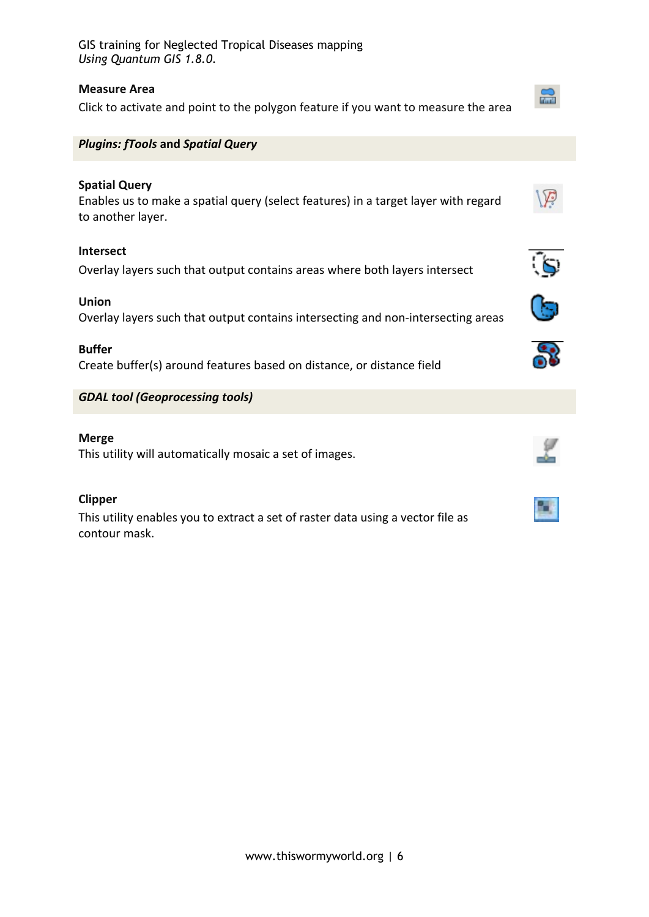## **Measure Area**

Click to activate and point to the polygon feature if you want to measure the area



## *Plugins: fTools* **and** *Spatial Query*

# **Spatial Query**

Enables us to make a spatial query (select features) in a target layer with regard to another layer.

## **Intersect**

Overlay layers such that output contains areas where both layers intersect

#### **Union**

Overlay layers such that output contains intersecting and non-intersecting areas

#### **Buffer**

Create buffer(s) around features based on distance, or distance field

*GDAL tool (Geoprocessing tools)*

#### **Merge**

This utility will automatically mosaic a set of images.

#### **Clipper**

This utility enables you to extract a set of raster data using a vector file as contour mask.





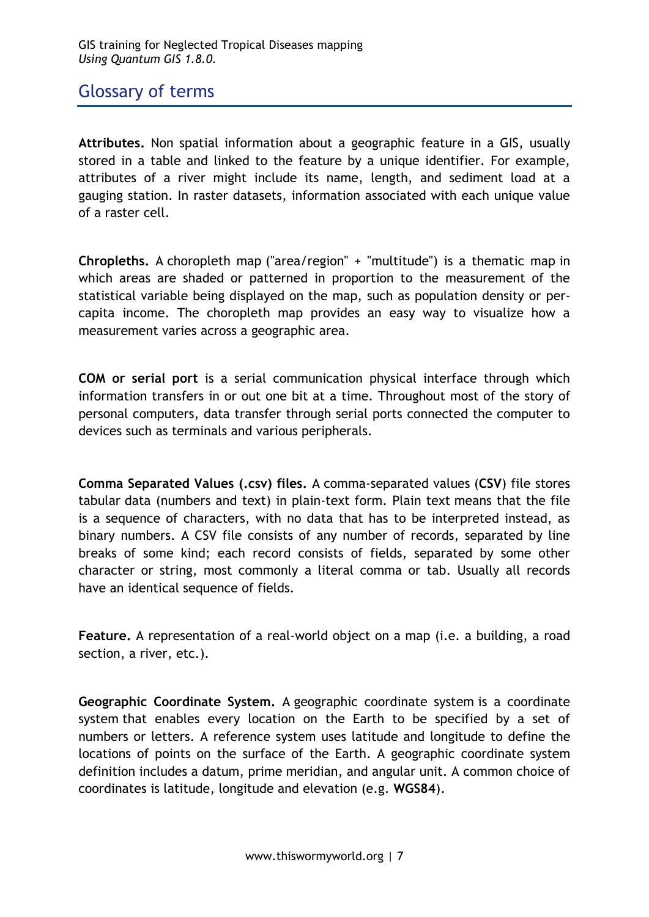# Glossary of terms

**Attributes.** Non spatial information about a geographic feature in a GIS, usually stored in a table and linked to the feature by a unique identifier. For example, attributes of a river might include its name, length, and sediment load at a gauging station. In raster datasets, information associated with each unique value of a raster cell.

**Chropleths.** A choropleth map ("area/region" + "multitude") is a thematic map in which areas are shaded or patterned in proportion to the measurement of the statistical variable being displayed on the map, such as population density or percapita income. The choropleth map provides an easy way to visualize how a measurement varies across a geographic area.

**COM or serial port** is a serial communication physical interface through which information transfers in or out one bit at a time. Throughout most of the story of personal computers, data transfer through serial ports connected the computer to devices such as terminals and various peripherals.

**Comma Separated Values (.csv) files.** A comma-separated values (**CSV**) file stores tabular data (numbers and text) in plain-text form. Plain text means that the file is a sequence of characters, with no data that has to be interpreted instead, as binary numbers. A CSV file consists of any number of records, separated by line breaks of some kind; each record consists of fields, separated by some other character or string, most commonly a literal comma or tab. Usually all records have an identical sequence of fields.

**Feature.** A representation of a real-world object on a map (i.e. a building, a road section, a river, etc.).

**Geographic Coordinate System.** A geographic coordinate system is a coordinate system that enables every location on the Earth to be specified by a set of numbers or letters. A reference system uses latitude and longitude to define the locations of points on the surface of the Earth. A geographic coordinate system definition includes a datum, prime meridian, and angular unit. A common choice of coordinates is latitude, longitude and elevation (e.g. **WGS84**).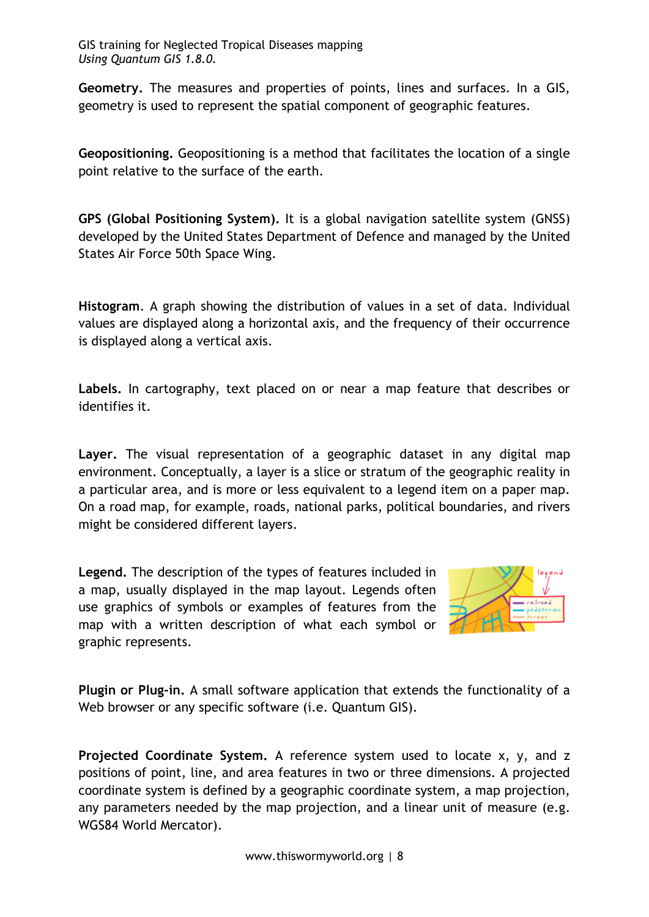**Geometry.** The measures and properties of points, lines and surfaces. In a GIS, geometry is used to represent the spatial component of geographic features.

**Geopositioning.** Geopositioning is a method that facilitates the location of a single point relative to the surface of the earth.

**GPS (Global Positioning System).** It is a global navigation satellite system (GNSS) developed by the United States Department of Defence and managed by the United States Air Force 50th Space Wing.

**Histogram**. A graph showing the distribution of values in a set of data. Individual values are displayed along a horizontal axis, and the frequency of their occurrence is displayed along a vertical axis.

**Labels.** In cartography, text placed on or near a map feature that describes or identifies it.

**Layer.** The visual representation of a geographic dataset in any digital map environment. Conceptually, a layer is a slice or stratum of the geographic reality in a particular area, and is more or less equivalent to a legend item on a paper map. On a road map, for example, roads, national parks, political boundaries, and rivers might be considered different layers.

**Legend.** The description of the types of features included in a map, usually displayed in the map layout. Legends often use graphics of symbols or examples of features from the map with a written description of what each symbol or graphic represents.



**Plugin or Plug-in.** A small software application that extends the functionality of a Web browser or any specific software (*i.e. Quantum GIS*).

**Projected Coordinate System.** A reference system used to locate x, y, and z positions of point, line, and area features in two or three dimensions. A projected coordinate system is defined by a geographic coordinate system, a map projection, any parameters needed by the map projection, and a linear unit of measure (e.g. WGS84 World Mercator).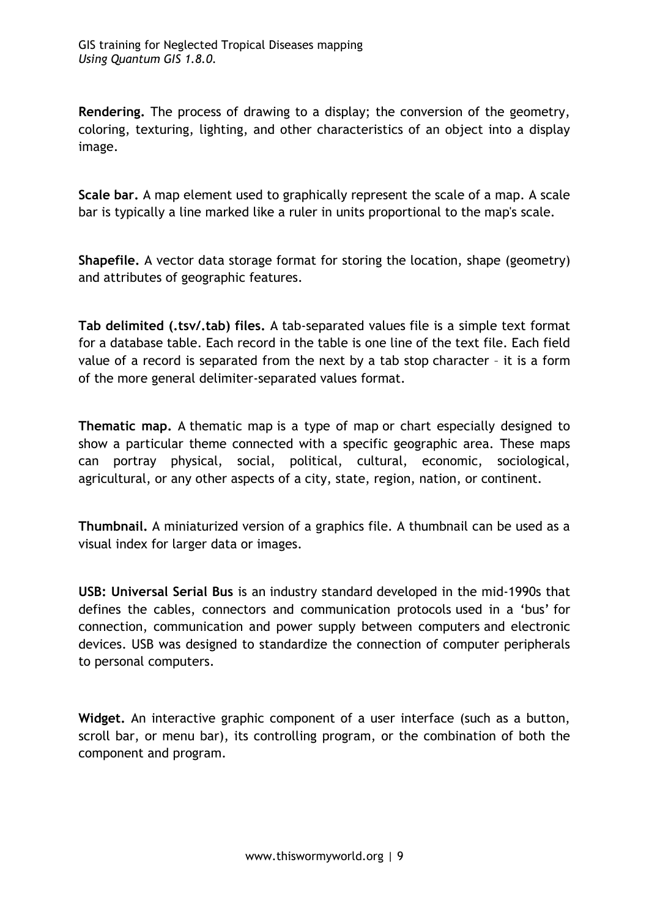**Rendering.** The process of drawing to a display; the conversion of the geometry, coloring, texturing, lighting, and other characteristics of an object into a display image.

**Scale bar.** A map element used to graphically represent the scale of a map. A scale bar is typically a line marked like a ruler in units proportional to the map's scale.

**Shapefile.** A vector data storage format for storing the location, shape (geometry) and attributes of geographic features.

**Tab delimited (.tsv/.tab) files.** A tab-separated values file is a simple text format for a database table. Each record in the table is one line of the text file. Each field value of a record is separated from the next by a tab stop character – it is a form of the more general delimiter-separated values format.

**Thematic map.** A thematic map is a type of map or chart especially designed to show a particular theme connected with a specific geographic area. These maps can portray physical, social, political, cultural, economic, sociological, agricultural, or any other aspects of a city, state, region, nation, or continent.

**Thumbnail.** A miniaturized version of a graphics file. A thumbnail can be used as a visual index for larger data or images.

**USB: Universal Serial Bus** is an industry standard developed in the mid-1990s that defines the cables, connectors and communication protocols used in a 'bus' for connection, communication and power supply between computers and electronic devices. USB was designed to standardize the connection of computer peripherals to personal computers.

**Widget.** An interactive graphic component of a user interface (such as a button, scroll bar, or menu bar), its controlling program, or the combination of both the component and program.